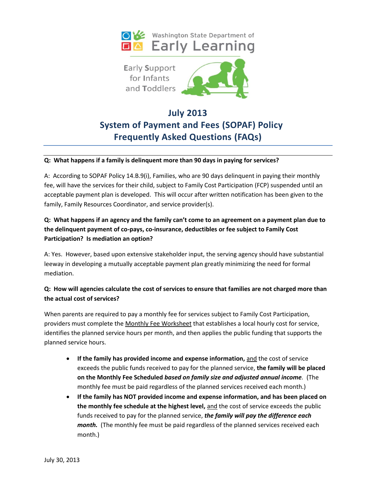



# **July 2013 System of Payment and Fees (SOPAF) Policy Frequently Asked Questions (FAQs)**

#### **Q: What happens if a family is delinquent more than 90 days in paying for services?**

A: According to SOPAF Policy 14.B.9(i), Families, who are 90 days delinquent in paying their monthly fee, will have the services for their child, subject to Family Cost Participation (FCP) suspended until an acceptable payment plan is developed. This will occur after written notification has been given to the family, Family Resources Coordinator, and service provider(s).

# **Q: What happens if an agency and the family can't come to an agreement on a payment plan due to the delinquent payment of co-pays, co-insurance, deductibles or fee subject to Family Cost Participation? Is mediation an option?**

A: Yes. However, based upon extensive stakeholder input, the serving agency should have substantial leeway in developing a mutually acceptable payment plan greatly minimizing the need for formal mediation.

## **Q: How will agencies calculate the cost of services to ensure that families are not charged more than the actual cost of services?**

When parents are required to pay a monthly fee for services subject to Family Cost Participation, providers must complete the Monthly Fee Worksheet that establishes a local hourly cost for service, identifies the planned service hours per month, and then applies the public funding that supports the planned service hours.

- **If the family has provided income and expense information, and the cost of service** exceeds the public funds received to pay for the planned service, **the family will be placed on the Monthly Fee Scheduled** *based on family size and adjusted annual income.* (The monthly fee must be paid regardless of the planned services received each month.)
- **If the family has NOT provided income and expense information, and has been placed on the monthly fee schedule at the highest level,** and the cost of service exceeds the public funds received to pay for the planned service, *the family will pay the difference each month.* (The monthly fee must be paid regardless of the planned services received each month.)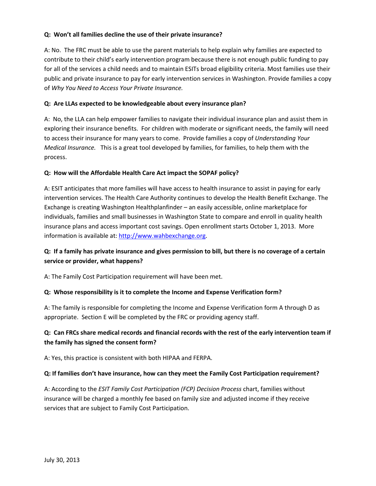#### **Q: Won't all families decline the use of their private insurance?**

A: No. The FRC must be able to use the parent materials to help explain why families are expected to contribute to their child's early intervention program because there is not enough public funding to pay for all of the services a child needs and to maintain ESITs broad eligibility criteria. Most families use their public and private insurance to pay for early intervention services in Washington. Provide families a copy of *Why You Need to Access Your Private Insurance.*

#### **Q: Are LLAs expected to be knowledgeable about every insurance plan?**

A: No, the LLA can help empower families to navigate their individual insurance plan and assist them in exploring their insurance benefits. For children with moderate or significant needs, the family will need to access their insurance for many years to come. Provide families a copy of *Understanding Your Medical Insurance.* This is a great tool developed by families, for families, to help them with the process.

#### **Q: How will the Affordable Health Care Act impact the SOPAF policy?**

A: ESIT anticipates that more families will have access to health insurance to assist in paying for early intervention services. The Health Care Authority continues to develop the Health Benefit Exchange. The Exchange is creating Washington Healthplanfinder – an easily accessible, online marketplace for individuals, families and small businesses in Washington State to compare and enroll in quality health insurance plans and access important cost savings. Open enrollment starts October 1, 2013. More information is available at[: http://www.wahbexchange.org.](http://www.wahbexchange.org/)

# **Q: If a family has private insurance and gives permission to bill, but there is no coverage of a certain service or provider, what happens?**

A: The Family Cost Participation requirement will have been met.

## **Q: Whose responsibility is it to complete the Income and Expense Verification form?**

A: The family is responsible for completing the Income and Expense Verification form A through D as appropriate. Section E will be completed by the FRC or providing agency staff.

## **Q: Can FRCs share medical records and financial records with the rest of the early intervention team if the family has signed the consent form?**

A: Yes, this practice is consistent with both HIPAA and FERPA.

## **Q: If families don't have insurance, how can they meet the Family Cost Participation requirement?**

A: According to the *ESIT Family Cost Participation (FCP) Decision Process* chart, families without insurance will be charged a monthly fee based on family size and adjusted income if they receive services that are subject to Family Cost Participation.